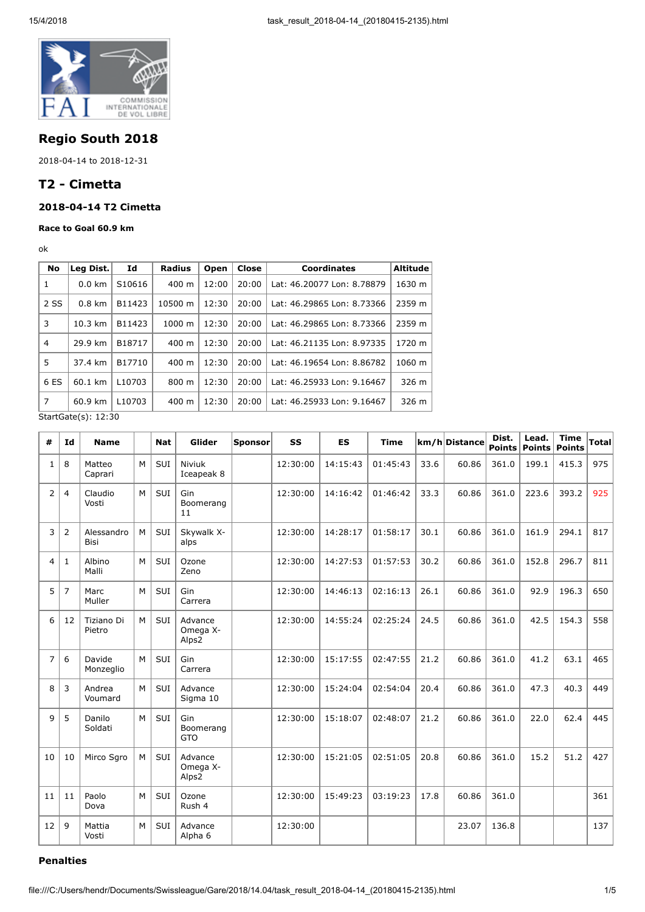

## Regio South 2018

2018-04-14 to 2018-12-31

# T2 - Cimetta

### 2018-04-14 T2 Cimetta

#### Race to Goal 60.9 km

ok

| No                  | Leg Dist.         | Id                 | <b>Radius</b>    | Open           | Close | <b>Coordinates</b>         | <b>Altitude</b> |
|---------------------|-------------------|--------------------|------------------|----------------|-------|----------------------------|-----------------|
| 1                   | $0.0 \text{ km}$  | S10616             | 400 m            | 12:00          | 20:00 | Lat: 46.20077 Lon: 8.78879 | 1630 m          |
| 2 SS                | $0.8 \text{ km}$  | B11423             | 10500 m          | 12:30<br>20:00 |       | Lat: 46.29865 Lon: 8.73366 | 2359 m          |
| 3                   | $10.3 \text{ km}$ | B11423             | $1000 \;{\rm m}$ | 12:30          | 20:00 | Lat: 46.29865 Lon: 8.73366 | 2359 m          |
| $\overline{4}$      | 29.9 km           | B18717             | $400 \text{ m}$  | 12:30          | 20:00 | Lat: 46.21135 Lon: 8.97335 | 1720 m          |
| 5                   | 37.4 km           | B17710             | 400 m            | 12:30          | 20:00 | Lat: 46.19654 Lon: 8.86782 | 1060 m          |
| 6 ES                | 60.1 km           | L <sub>10703</sub> | 800 m            | 12:30          | 20:00 | Lat: 46.25933 Lon: 9.16467 | 326 m           |
| 7                   | 60.9 km           | L <sub>10703</sub> | 400 m            | 12:30          | 20:00 | Lat: 46.25933 Lon: 9.16467 | 326 m           |
| StartGate(s): 12:30 |                   |                    |                  |                |       |                            |                 |

# | Id | Name | | Nat | Glider | Sponsor | SS | ES | Time  $\vert$  km/h Distance | Dist. Points  $1 \mid 8 \mid$  Matteo Caprari M SUI Niviuk Iceapeak 8  $12:30:00$  | 14:15:43 | 01:45:43 | 33.6 | 60.86 | 361.0 | 199.1 | 415.3 | 975  $2 | 4 |$  Claudio Vosti M | SUI | Gin Boomerang 11 12:30:00 | 14:16:42 | 01:46:42 | 33.3 | 60.86 | 361.0 | 223.6 | 393.2 | 925 3 2 Alessandro Bisi  $M \vert SUI \vert$  Skywalk Xalps  $12:30:00$  |  $14:28:17$  |  $01:58:17$  |  $30.1$  | 60.86 | 361.0 | 161.9 | 294.1 | 817  $4 \mid 1 \mid$  Albino Malli M SUI Ozone Zeno  $12:30:00$  | 14:27:53 | 01:57:53 | 30.2 | 60.86 | 361.0 | 152.8 | 296.7 | 811  $5 \mid 7 \mid$  Marc Muller M | SUI | Gin Carrera 12:30:00 | 14:46:13 | 02:16:13 | 26.1 | 60.86 | 361.0 | 92.9 | 196.3 | 650 6 12 Tiziano Di Pietro M SUI Advance Omega X-Alps2  $12:30:00$  |  $14:55:24$  |  $02:25:24$  |  $24.5$  | 60.86 | 361.0 | 42.5 | 154.3 | 558  $7 | 6 |$  Davide Monzeglio  $M \vert SUI \vert$  Gin Carrera 12:30:00 15:17:55 02:47:55 21.2 60.86 361.0 41.2 63.1 465  $8 \mid 3 \mid$  Andrea Voumard M | SUI | Advance Sigma 10 12:30:00 | 15:24:04 | 02:54:04 | 20.4 | 60.86 | 361.0 | 47.3 | 40.3 | 449 9 5 Danilo M SUI Gin 12:30:00 15:18:07 02:48:07 21.2 60.86 361.0 22.0 62.4 445

#### Penalties

 $11 \mid 11 \mid$  Paolo Dova

 $12 | 9 |$  Mattia Vosti

Soldati

10 | 10 | Mirco Sgro | M | SUI | Advance

Boomerang GTO

Omega X-Alps2

Rush 4

Alpha 6

M | SUI | Ozone

M SUI Advance

Lead. Points

12:30:00 15:21:05 02:51:05 20.8 60.86 361.0 15.2 51.2 427

 $12:30:00$  | 15:49:23 | 03:19:23 | 17.8 | 60.86 | 361.0 | | | | 361

 $12:30:00$  | | 23.07 | 136.8 | | 137

Time Points Total